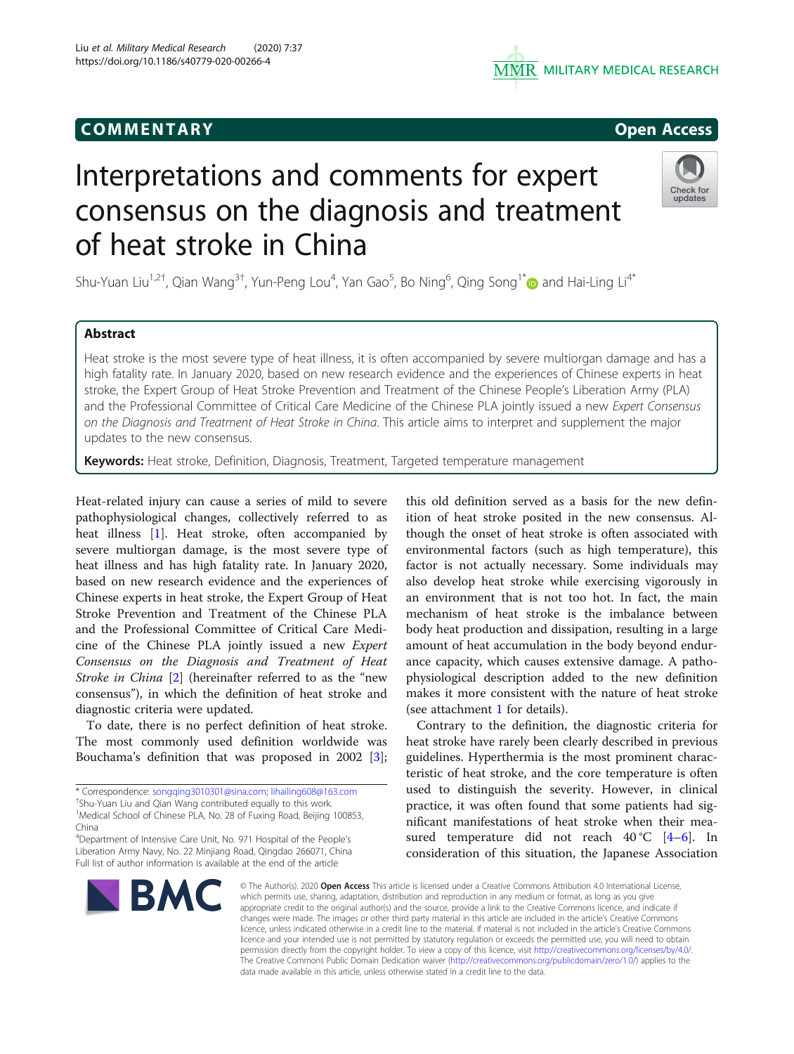# COMM EN TARY Open Access



# Interpretations and comments for expert consensus on the diagnosis and treatment of heat stroke in China



Shu-Yuan Liu $^{1,2}$ , Qian Wang $^{3\dagger}$ , Yun-Peng Lou $^4$ , Yan Gao $^5$ , Bo Ning $^6$ , Qing Song $^{1*}$  $^{1*}$  $^{1*}$  and Hai-Ling Li $^{4*}$ 

## Abstract

Heat stroke is the most severe type of heat illness, it is often accompanied by severe multiorgan damage and has a high fatality rate. In January 2020, based on new research evidence and the experiences of Chinese experts in heat stroke, the Expert Group of Heat Stroke Prevention and Treatment of the Chinese People's Liberation Army (PLA) and the Professional Committee of Critical Care Medicine of the Chinese PLA jointly issued a new Expert Consensus on the Diagnosis and Treatment of Heat Stroke in China. This article aims to interpret and supplement the major updates to the new consensus.

Keywords: Heat stroke, Definition, Diagnosis, Treatment, Targeted temperature management

Heat-related injury can cause a series of mild to severe pathophysiological changes, collectively referred to as heat illness [[1\]](#page-1-0). Heat stroke, often accompanied by severe multiorgan damage, is the most severe type of heat illness and has high fatality rate. In January 2020, based on new research evidence and the experiences of Chinese experts in heat stroke, the Expert Group of Heat Stroke Prevention and Treatment of the Chinese PLA and the Professional Committee of Critical Care Medicine of the Chinese PLA jointly issued a new Expert Consensus on the Diagnosis and Treatment of Heat Stroke in China [[2\]](#page-1-0) (hereinafter referred to as the "new consensus"), in which the definition of heat stroke and diagnostic criteria were updated.

To date, there is no perfect definition of heat stroke. The most commonly used definition worldwide was Bouchama's definition that was proposed in 2002 [\[3](#page-1-0)];

this old definition served as a basis for the new definition of heat stroke posited in the new consensus. Although the onset of heat stroke is often associated with environmental factors (such as high temperature), this factor is not actually necessary. Some individuals may also develop heat stroke while exercising vigorously in an environment that is not too hot. In fact, the main mechanism of heat stroke is the imbalance between body heat production and dissipation, resulting in a large amount of heat accumulation in the body beyond endurance capacity, which causes extensive damage. A pathophysiological description added to the new definition makes it more consistent with the nature of heat stroke (see attachment [1](#page-1-0) for details).

Contrary to the definition, the diagnostic criteria for heat stroke have rarely been clearly described in previous guidelines. Hyperthermia is the most prominent characteristic of heat stroke, and the core temperature is often used to distinguish the severity. However, in clinical practice, it was often found that some patients had significant manifestations of heat stroke when their measured temperature did not reach  $40^{\circ}$ C [\[4](#page-1-0)–[6](#page-1-0)]. In consideration of this situation, the Japanese Association



© The Author(s), 2020 **Open Access** This article is licensed under a Creative Commons Attribution 4.0 International License, which permits use, sharing, adaptation, distribution and reproduction in any medium or format, as long as you give appropriate credit to the original author(s) and the source, provide a link to the Creative Commons licence, and indicate if changes were made. The images or other third party material in this article are included in the article's Creative Commons licence, unless indicated otherwise in a credit line to the material. If material is not included in the article's Creative Commons licence and your intended use is not permitted by statutory regulation or exceeds the permitted use, you will need to obtain permission directly from the copyright holder. To view a copy of this licence, visit [http://creativecommons.org/licenses/by/4.0/.](http://creativecommons.org/licenses/by/4.0/) The Creative Commons Public Domain Dedication waiver [\(http://creativecommons.org/publicdomain/zero/1.0/](http://creativecommons.org/publicdomain/zero/1.0/)) applies to the data made available in this article, unless otherwise stated in a credit line to the data.

<sup>\*</sup> Correspondence: [songqing3010301@sina.com;](mailto:songqing3010301@sina.com) [lihailing608@163.com](mailto:lihailing608@163.com) †

<sup>&</sup>lt;sup>+</sup>Shu-Yuan Liu and Qian Wang contributed equally to this work.

<sup>&</sup>lt;sup>1</sup>Medical School of Chinese PLA, No. 28 of Fuxing Road, Beijing 100853, China

<sup>&</sup>lt;sup>4</sup>Department of Intensive Care Unit, No. 971 Hospital of the People's Liberation Army Navy, No. 22 Minjiang Road, Qingdao 266071, China Full list of author information is available at the end of the article